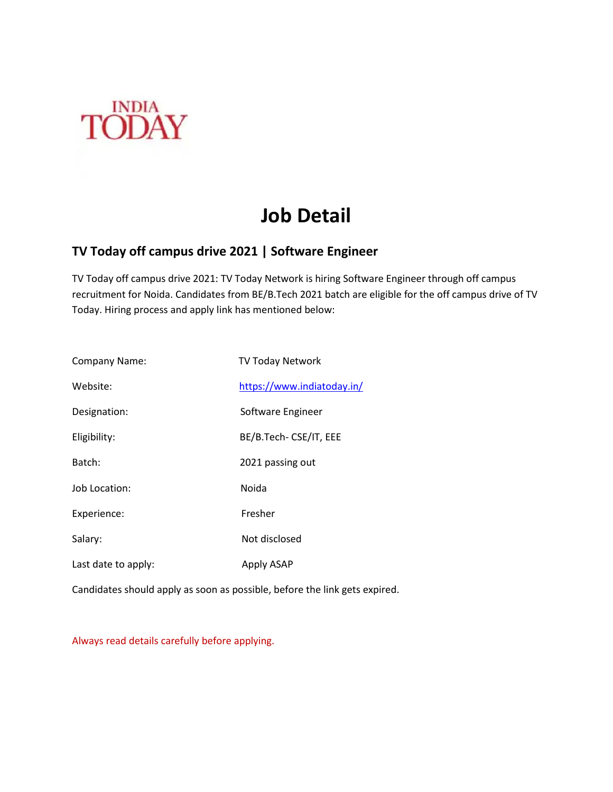

# **Job Detail**

### **TV Today off campus drive 2021 | Software Engineer**

TV Today off campus drive 2021: TV Today Network is hiring Software Engineer through off campus recruitment for Noida. Candidates from BE/B.Tech 2021 batch are eligible for the off campus drive of TV Today. Hiring process and apply link has mentioned below:

| <b>Company Name:</b> | TV Today Network           |
|----------------------|----------------------------|
| Website:             | https://www.indiatoday.in/ |
| Designation:         | Software Engineer          |
| Eligibility:         | BE/B.Tech- CSE/IT, EEE     |
| Batch:               | 2021 passing out           |
| Job Location:        | Noida                      |
| Experience:          | Fresher                    |
| Salary:              | Not disclosed              |
| Last date to apply:  | Apply ASAP                 |

Candidates should apply as soon as possible, before the link gets expired.

Always read details carefully before applying.